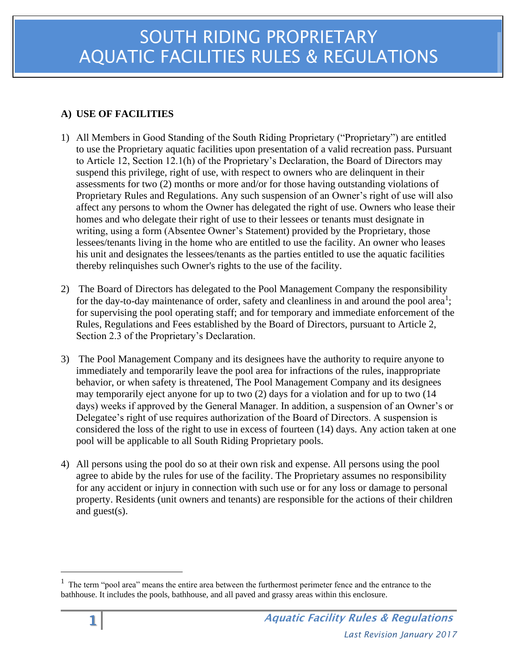# **A) USE OF FACILITIES**

- 1) All Members in Good Standing of the South Riding Proprietary ("Proprietary") are entitled to use the Proprietary aquatic facilities upon presentation of a valid recreation pass. Pursuant to Article 12, Section 12.1(h) of the Proprietary's Declaration, the Board of Directors may suspend this privilege, right of use, with respect to owners who are delinquent in their assessments for two (2) months or more and/or for those having outstanding violations of Proprietary Rules and Regulations. Any such suspension of an Owner's right of use will also affect any persons to whom the Owner has delegated the right of use. Owners who lease their homes and who delegate their right of use to their lessees or tenants must designate in writing, using a form (Absentee Owner's Statement) provided by the Proprietary, those lessees/tenants living in the home who are entitled to use the facility. An owner who leases his unit and designates the lessees/tenants as the parties entitled to use the aquatic facilities thereby relinquishes such Owner's rights to the use of the facility.
- 2) The Board of Directors has delegated to the Pool Management Company the responsibility for the day-to-day maintenance of order, safety and cleanliness in and around the pool area<sup>1</sup>; for supervising the pool operating staff; and for temporary and immediate enforcement of the Rules, Regulations and Fees established by the Board of Directors, pursuant to Article 2, Section 2.3 of the Proprietary's Declaration.
- 3) The Pool Management Company and its designees have the authority to require anyone to immediately and temporarily leave the pool area for infractions of the rules, inappropriate behavior, or when safety is threatened, The Pool Management Company and its designees may temporarily eject anyone for up to two (2) days for a violation and for up to two (14 days) weeks if approved by the General Manager. In addition, a suspension of an Owner's or Delegatee's right of use requires authorization of the Board of Directors. A suspension is considered the loss of the right to use in excess of fourteen (14) days. Any action taken at one pool will be applicable to all South Riding Proprietary pools.
- 4) All persons using the pool do so at their own risk and expense. All persons using the pool agree to abide by the rules for use of the facility. The Proprietary assumes no responsibility for any accident or injury in connection with such use or for any loss or damage to personal property. Residents (unit owners and tenants) are responsible for the actions of their children and guest(s).

 $1$  The term "pool area" means the entire area between the furthermost perimeter fence and the entrance to the bathhouse. It includes the pools, bathhouse, and all paved and grassy areas within this enclosure.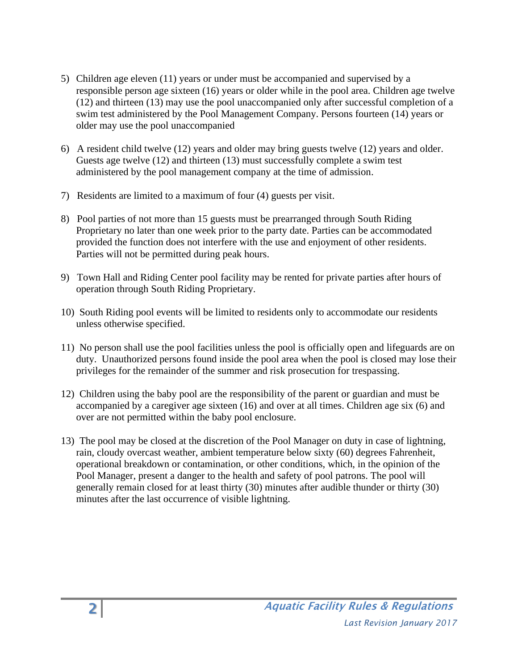- 5) Children age eleven (11) years or under must be accompanied and supervised by a responsible person age sixteen (16) years or older while in the pool area. Children age twelve (12) and thirteen (13) may use the pool unaccompanied only after successful completion of a swim test administered by the Pool Management Company. Persons fourteen (14) years or older may use the pool unaccompanied
- 6) A resident child twelve (12) years and older may bring guests twelve (12) years and older. Guests age twelve (12) and thirteen (13) must successfully complete a swim test administered by the pool management company at the time of admission.
- 7) Residents are limited to a maximum of four (4) guests per visit.
- 8) Pool parties of not more than 15 guests must be prearranged through South Riding Proprietary no later than one week prior to the party date. Parties can be accommodated provided the function does not interfere with the use and enjoyment of other residents. Parties will not be permitted during peak hours.
- 9) Town Hall and Riding Center pool facility may be rented for private parties after hours of operation through South Riding Proprietary.
- 10) South Riding pool events will be limited to residents only to accommodate our residents unless otherwise specified.
- 11) No person shall use the pool facilities unless the pool is officially open and lifeguards are on duty. Unauthorized persons found inside the pool area when the pool is closed may lose their privileges for the remainder of the summer and risk prosecution for trespassing.
- 12) Children using the baby pool are the responsibility of the parent or guardian and must be accompanied by a caregiver age sixteen (16) and over at all times. Children age six (6) and over are not permitted within the baby pool enclosure.
- 13) The pool may be closed at the discretion of the Pool Manager on duty in case of lightning, rain, cloudy overcast weather, ambient temperature below sixty (60) degrees Fahrenheit, operational breakdown or contamination, or other conditions, which, in the opinion of the Pool Manager, present a danger to the health and safety of pool patrons. The pool will generally remain closed for at least thirty (30) minutes after audible thunder or thirty (30) minutes after the last occurrence of visible lightning.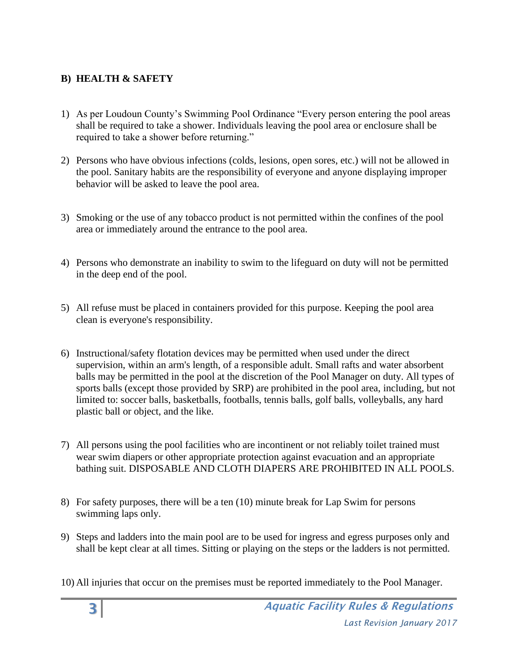#### **B) HEALTH & SAFETY**

- 1) As per Loudoun County's Swimming Pool Ordinance "Every person entering the pool areas shall be required to take a shower. Individuals leaving the pool area or enclosure shall be required to take a shower before returning."
- 2) Persons who have obvious infections (colds, lesions, open sores, etc.) will not be allowed in the pool. Sanitary habits are the responsibility of everyone and anyone displaying improper behavior will be asked to leave the pool area.
- 3) Smoking or the use of any tobacco product is not permitted within the confines of the pool area or immediately around the entrance to the pool area.
- 4) Persons who demonstrate an inability to swim to the lifeguard on duty will not be permitted in the deep end of the pool.
- 5) All refuse must be placed in containers provided for this purpose. Keeping the pool area clean is everyone's responsibility.
- 6) Instructional/safety flotation devices may be permitted when used under the direct supervision, within an arm's length, of a responsible adult. Small rafts and water absorbent balls may be permitted in the pool at the discretion of the Pool Manager on duty. All types of sports balls (except those provided by SRP) are prohibited in the pool area, including, but not limited to: soccer balls, basketballs, footballs, tennis balls, golf balls, volleyballs, any hard plastic ball or object, and the like.
- 7) All persons using the pool facilities who are incontinent or not reliably toilet trained must wear swim diapers or other appropriate protection against evacuation and an appropriate bathing suit. DISPOSABLE AND CLOTH DIAPERS ARE PROHIBITED IN ALL POOLS.
- 8) For safety purposes, there will be a ten (10) minute break for Lap Swim for persons swimming laps only.
- 9) Steps and ladders into the main pool are to be used for ingress and egress purposes only and shall be kept clear at all times. Sitting or playing on the steps or the ladders is not permitted.
- 10) All injuries that occur on the premises must be reported immediately to the Pool Manager.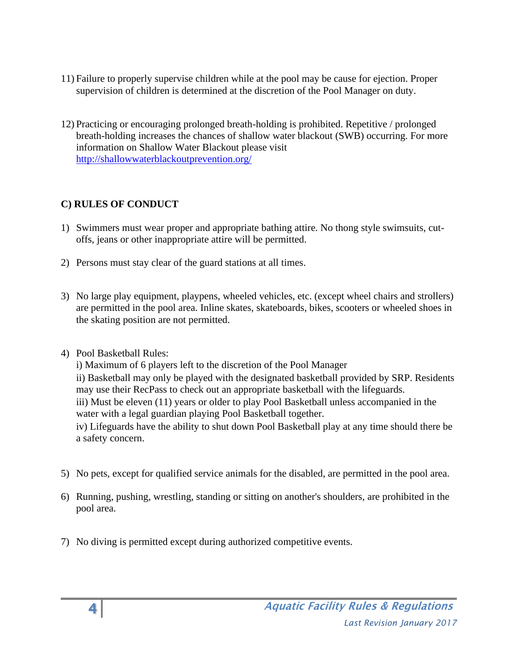- 11) Failure to properly supervise children while at the pool may be cause for ejection. Proper supervision of children is determined at the discretion of the Pool Manager on duty.
- 12) Practicing or encouraging prolonged breath-holding is prohibited. Repetitive / prolonged breath-holding increases the chances of shallow water blackout (SWB) occurring. For more information on Shallow Water Blackout please visit <http://shallowwaterblackoutprevention.org/>

## **C) RULES OF CONDUCT**

- 1) Swimmers must wear proper and appropriate bathing attire. No thong style swimsuits, cutoffs, jeans or other inappropriate attire will be permitted.
- 2) Persons must stay clear of the guard stations at all times.
- 3) No large play equipment, playpens, wheeled vehicles, etc. (except wheel chairs and strollers) are permitted in the pool area. Inline skates, skateboards, bikes, scooters or wheeled shoes in the skating position are not permitted.
- 4) Pool Basketball Rules:

i) Maximum of 6 players left to the discretion of the Pool Manager ii) Basketball may only be played with the designated basketball provided by SRP. Residents may use their RecPass to check out an appropriate basketball with the lifeguards. iii) Must be eleven (11) years or older to play Pool Basketball unless accompanied in the water with a legal guardian playing Pool Basketball together. iv) Lifeguards have the ability to shut down Pool Basketball play at any time should there be a safety concern.

- 5) No pets, except for qualified service animals for the disabled, are permitted in the pool area.
- 6) Running, pushing, wrestling, standing or sitting on another's shoulders, are prohibited in the pool area.
- 7) No diving is permitted except during authorized competitive events.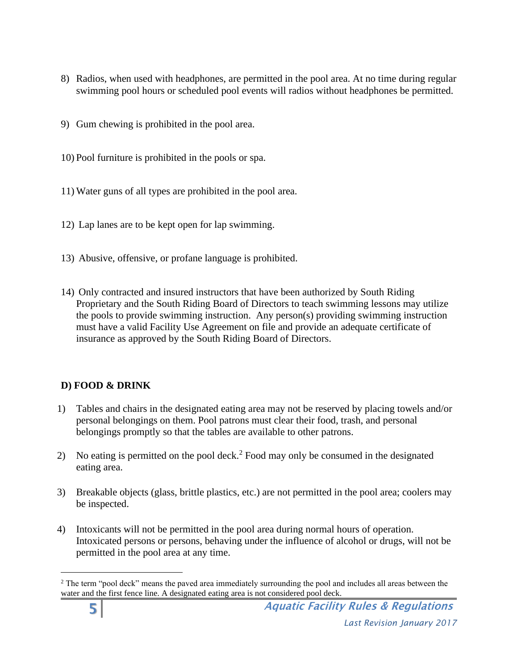- 8) Radios, when used with headphones, are permitted in the pool area. At no time during regular swimming pool hours or scheduled pool events will radios without headphones be permitted.
- 9) Gum chewing is prohibited in the pool area.
- 10) Pool furniture is prohibited in the pools or spa.
- 11) Water guns of all types are prohibited in the pool area.
- 12) Lap lanes are to be kept open for lap swimming.
- 13) Abusive, offensive, or profane language is prohibited.
- 14) Only contracted and insured instructors that have been authorized by South Riding Proprietary and the South Riding Board of Directors to teach swimming lessons may utilize the pools to provide swimming instruction. Any person(s) providing swimming instruction must have a valid Facility Use Agreement on file and provide an adequate certificate of insurance as approved by the South Riding Board of Directors.

#### **D) FOOD & DRINK**

- 1) Tables and chairs in the designated eating area may not be reserved by placing towels and/or personal belongings on them. Pool patrons must clear their food, trash, and personal belongings promptly so that the tables are available to other patrons.
- 2) No eating is permitted on the pool deck.<sup>2</sup> Food may only be consumed in the designated eating area.
- 3) Breakable objects (glass, brittle plastics, etc.) are not permitted in the pool area; coolers may be inspected.
- 4) Intoxicants will not be permitted in the pool area during normal hours of operation. Intoxicated persons or persons, behaving under the influence of alcohol or drugs, will not be permitted in the pool area at any time.

<sup>&</sup>lt;sup>2</sup> The term "pool deck" means the paved area immediately surrounding the pool and includes all areas between the water and the first fence line. A designated eating area is not considered pool deck.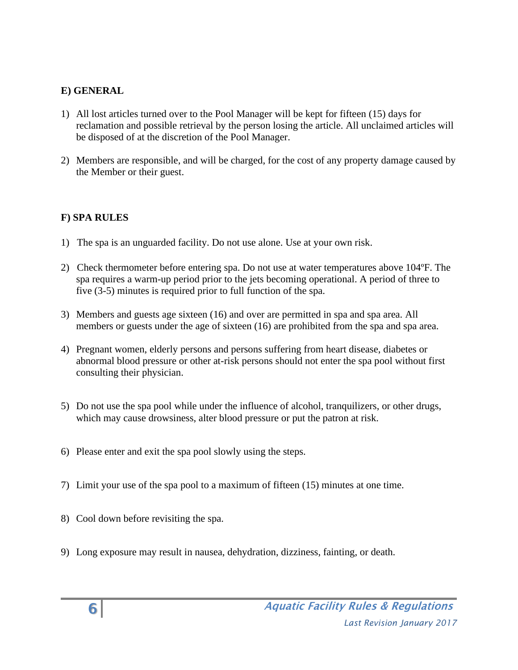## **E) GENERAL**

- 1) All lost articles turned over to the Pool Manager will be kept for fifteen (15) days for reclamation and possible retrieval by the person losing the article. All unclaimed articles will be disposed of at the discretion of the Pool Manager.
- 2) Members are responsible, and will be charged, for the cost of any property damage caused by the Member or their guest.

## **F) SPA RULES**

- 1) The spa is an unguarded facility. Do not use alone. Use at your own risk.
- 2) Check thermometer before entering spa. Do not use at water temperatures above 104ºF. The spa requires a warm-up period prior to the jets becoming operational. A period of three to five (3-5) minutes is required prior to full function of the spa.
- 3) Members and guests age sixteen (16) and over are permitted in spa and spa area. All members or guests under the age of sixteen (16) are prohibited from the spa and spa area.
- 4) Pregnant women, elderly persons and persons suffering from heart disease, diabetes or abnormal blood pressure or other at-risk persons should not enter the spa pool without first consulting their physician.
- 5) Do not use the spa pool while under the influence of alcohol, tranquilizers, or other drugs, which may cause drowsiness, alter blood pressure or put the patron at risk.
- 6) Please enter and exit the spa pool slowly using the steps.
- 7) Limit your use of the spa pool to a maximum of fifteen (15) minutes at one time.
- 8) Cool down before revisiting the spa.
- 9) Long exposure may result in nausea, dehydration, dizziness, fainting, or death.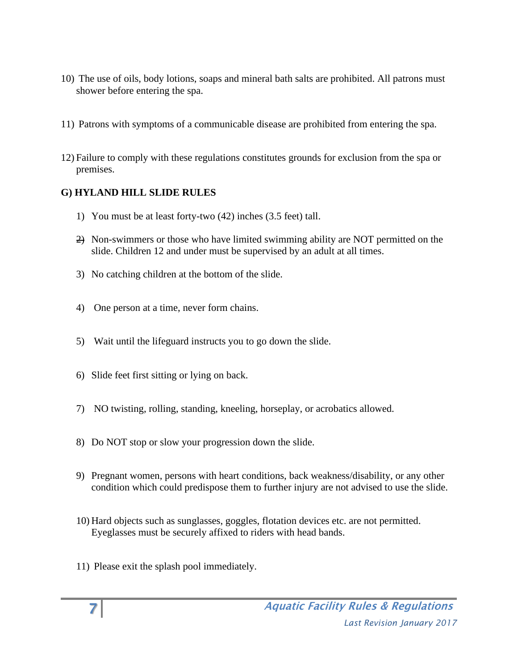- 10) The use of oils, body lotions, soaps and mineral bath salts are prohibited. All patrons must shower before entering the spa.
- 11) Patrons with symptoms of a communicable disease are prohibited from entering the spa.
- 12) Failure to comply with these regulations constitutes grounds for exclusion from the spa or premises.

# **G) HYLAND HILL SLIDE RULES**

- 1) You must be at least forty-two (42) inches (3.5 feet) tall.
- 2) Non-swimmers or those who have limited swimming ability are NOT permitted on the slide. Children 12 and under must be supervised by an adult at all times.
- 3) No catching children at the bottom of the slide.
- 4) One person at a time, never form chains.
- 5) Wait until the lifeguard instructs you to go down the slide.
- 6) Slide feet first sitting or lying on back.
- 7) NO twisting, rolling, standing, kneeling, horseplay, or acrobatics allowed.
- 8) Do NOT stop or slow your progression down the slide.
- 9) Pregnant women, persons with heart conditions, back weakness/disability, or any other condition which could predispose them to further injury are not advised to use the slide.
- 10) Hard objects such as sunglasses, goggles, flotation devices etc. are not permitted. Eyeglasses must be securely affixed to riders with head bands.
- 11) Please exit the splash pool immediately.